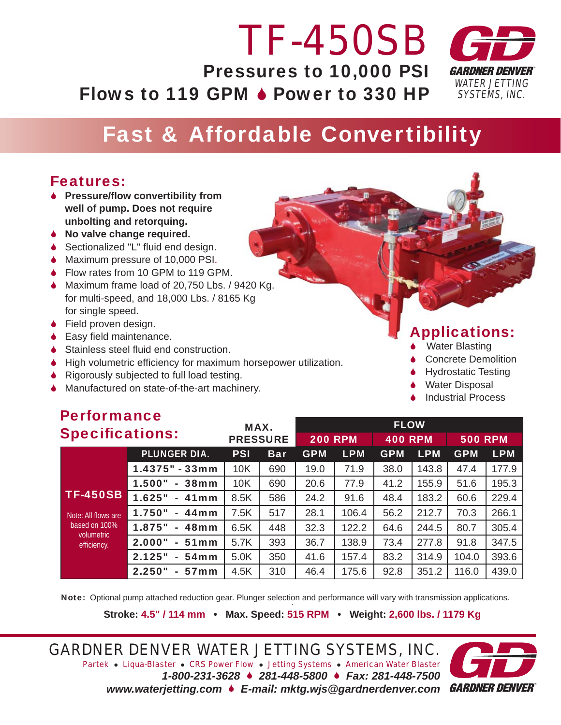# *TF-450SB* Pressures to 10,000 PSI Flows to 119 GPM  $\triangle$  Power to 330 HP



## Fast & Affordable Convertibility

#### Features:

- **↓** Pressure/flow convertibility from  **well of pump. Does not require unbolting and retorquing.**
- 6 **No valve change required.**
- $\triangle$  Sectionalized "L" fluid end design.
- ◆ Maximum pressure of 10,000 PSI.
- ◆ Flow rates from 10 GPM to 119 GPM.
- 6 Maximum frame load of 20,750 Lbs. / 9420 Kg. for multi-speed, and 18,000 Lbs. / 8165 Kg for single speed.
- ◆ Field proven design.
- $\bullet$  Easy field maintenance.

**Performance Performance** 

- $\triangle$  Stainless steel fluid end construction.
- $\blacklozenge$  High volumetric efficiency for maximum horsepower utilization.
- ◆ Rigorously subjected to full load testing.
- ◆ Manufactured on state-of-the-art machinery.

### Applications:

- Water Blasting
- 6 Concrete Demolition
- **Hydrostatic Testing**
- **↓** Water Disposal
- 6 Industrial Process

| <b>Performance</b><br><b>Specifications:</b>                                         |                                              | MAX.<br><b>PRESSURE</b> |            | <b>FLOW</b>    |            |                |            |                |            |
|--------------------------------------------------------------------------------------|----------------------------------------------|-------------------------|------------|----------------|------------|----------------|------------|----------------|------------|
|                                                                                      |                                              |                         |            | <b>200 RPM</b> |            | <b>400 RPM</b> |            | <b>500 RPM</b> |            |
|                                                                                      | <b>PLUNGER DIA.</b>                          | <b>PSI</b>              | <b>Bar</b> | <b>GPM</b>     | <b>LPM</b> | <b>GPM</b>     | <b>LPM</b> | <b>GPM</b>     | <b>LPM</b> |
| <b>TF-450SB</b><br>Note: All flows are<br>based on 100%<br>volumetric<br>efficiency. | $1.4375" - 33mm$                             | 10K                     | 690        | 19.0           | 71.9       | 38.0           | 143.8      | 47.4           | 177.9      |
|                                                                                      | 1.500"<br>38 <sub>mm</sub><br>$\sim$         | 10K                     | 690        | 20.6           | 77.9       | 41.2           | 155.9      | 51.6           | 195.3      |
|                                                                                      | 1.625"<br><b>41mm</b><br>$\sim$              | 8.5K                    | 586        | 24.2           | 91.6       | 48.4           | 183.2      | 60.6           | 229.4      |
|                                                                                      | 1.750"<br>$-44$ mm                           | 7.5K                    | 517        | 28.1           | 106.4      | 56.2           | 212.7      | 70.3           | 266.1      |
|                                                                                      | 1.875"<br>48 <sub>mm</sub><br>$\sim$         | 6.5K                    | 448        | 32.3           | 122.2      | 64.6           | 244.5      | 80.7           | 305.4      |
|                                                                                      | 2.000"<br>51 <sub>mm</sub><br>$\sim$         | 5.7K                    | 393        | 36.7           | 138.9      | 73.4           | 277.8      | 91.8           | 347.5      |
|                                                                                      | 2.125"<br>54 <sub>mm</sub><br>$\blacksquare$ | 5.0K                    | 350        | 41.6           | 157.4      | 83.2           | 314.9      | 104.0          | 393.6      |
|                                                                                      | 2.250"<br>57 <sub>mm</sub><br>$\sim$         | 4.5K                    | 310        | 46.4           | 175.6      | 92.8           | 351.2      | 116.0          | 439.0      |

Note: Optional pump attached reduction gear. Plunger selection and performance will vary with transmission applications.

**Stroke: 4.5" / 114 mm • Max. Speed: 515 RPM • Weight: 2,600 lbs. / 1179 Kg**

*GARDNER DENVER WATER JETTING SYSTEMS, INC. Partek* z *Liqua-Blaster* z *CRS Power Flow* z *Jetting Systems* z *American Water Blaster 1-800-231-3628* 6 *281-448-5800* 6 *Fax: 281-448-7500 www.waterjetting.com* 6 *E-mail: mktg.wjs@gardnerdenver.com*